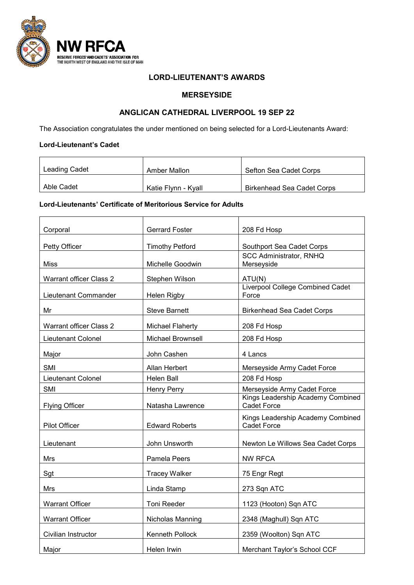

### **LORD-LIEUTENANT'S AWARDS**

## **MERSEYSIDE**

## **ANGLICAN CATHEDRAL LIVERPOOL 19 SEP 22**

The Association congratulates the under mentioned on being selected for a Lord-Lieutenants Award:

#### **Lord-Lieutenant's Cadet**

| Leading Cadet | Amber Mallon        | Sefton Sea Cadet Corps            |
|---------------|---------------------|-----------------------------------|
| Able Cadet    | Katie Flynn - Kyall | <b>Birkenhead Sea Cadet Corps</b> |

#### **Lord-Lieutenants' Certificate of Meritorious Service for Adults**

| Corporal                       | <b>Gerrard Foster</b>   | 208 Fd Hosp                                             |
|--------------------------------|-------------------------|---------------------------------------------------------|
| Petty Officer                  | <b>Timothy Petford</b>  | Southport Sea Cadet Corps                               |
| Miss                           | Michelle Goodwin        | <b>SCC Administrator, RNHQ</b><br>Merseyside            |
|                                |                         |                                                         |
| <b>Warrant officer Class 2</b> | Stephen Wilson          | ATU(N)<br><b>Liverpool College Combined Cadet</b>       |
| Lieutenant Commander           | Helen Rigby             | Force                                                   |
| Mr                             | <b>Steve Barnett</b>    | <b>Birkenhead Sea Cadet Corps</b>                       |
| Warrant officer Class 2        | <b>Michael Flaherty</b> | 208 Fd Hosp                                             |
| Lieutenant Colonel             | Michael Brownsell       | 208 Fd Hosp                                             |
| Major                          | John Cashen             | 4 Lancs                                                 |
| SMI                            | Allan Herbert           | Merseyside Army Cadet Force                             |
| Lieutenant Colonel             | <b>Helen Ball</b>       | 208 Fd Hosp                                             |
| SMI                            | <b>Henry Perry</b>      | Merseyside Army Cadet Force                             |
| <b>Flying Officer</b>          | Natasha Lawrence        | Kings Leadership Academy Combined<br><b>Cadet Force</b> |
| <b>Pilot Officer</b>           | <b>Edward Roberts</b>   | Kings Leadership Academy Combined<br>Cadet Force        |
| Lieutenant                     | John Unsworth           | Newton Le Willows Sea Cadet Corps                       |
| Mrs                            | Pamela Peers            | <b>NW RFCA</b>                                          |
| Sgt                            | <b>Tracey Walker</b>    | 75 Engr Regt                                            |
| Mrs                            | Linda Stamp             | 273 Sqn ATC                                             |
| <b>Warrant Officer</b>         | Toni Reeder             | 1123 (Hooton) Sqn ATC                                   |
| <b>Warrant Officer</b>         | Nicholas Manning        | 2348 (Maghull) Sqn ATC                                  |
| Civilian Instructor            | Kenneth Pollock         | 2359 (Woolton) Sqn ATC                                  |
| Major                          | Helen Irwin             | Merchant Taylor's School CCF                            |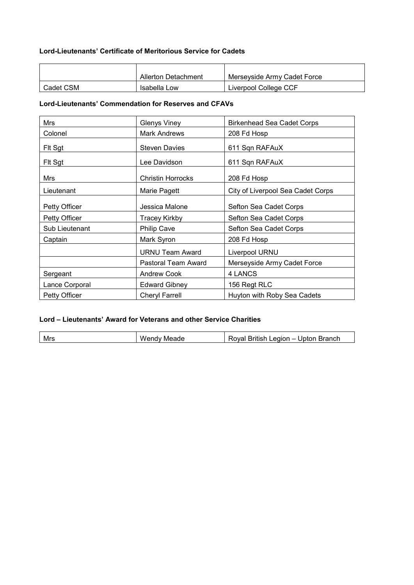## **Lord-Lieutenants' Certificate of Meritorious Service for Cadets**

|           | <b>Allerton Detachment</b> | Mersevside Army Cadet Force |
|-----------|----------------------------|-----------------------------|
| Cadet CSM | Isabella Low               | Liverpool College CCF       |

## **Lord-Lieutenants' Commendation for Reserves and CFAVs**

| Mrs            | <b>Glenys Viney</b>      | <b>Birkenhead Sea Cadet Corps</b> |
|----------------|--------------------------|-----------------------------------|
| Colonel        | <b>Mark Andrews</b>      | 208 Fd Hosp                       |
| Fit Sgt        | <b>Steven Davies</b>     | 611 Sqn RAFAuX                    |
| Fit Sgt        | Lee Davidson             | 611 Sqn RAFAuX                    |
| Mrs            | <b>Christin Horrocks</b> | 208 Fd Hosp                       |
| Lieutenant     | Marie Pagett             | City of Liverpool Sea Cadet Corps |
| Petty Officer  | Jessica Malone           | Sefton Sea Cadet Corps            |
| Petty Officer  | <b>Tracey Kirkby</b>     | Sefton Sea Cadet Corps            |
| Sub Lieutenant | <b>Philip Cave</b>       | Sefton Sea Cadet Corps            |
| Captain        | Mark Syron               | 208 Fd Hosp                       |
|                | <b>URNU Team Award</b>   | Liverpool URNU                    |
|                | Pastoral Team Award      | Merseyside Army Cadet Force       |
| Sergeant       | <b>Andrew Cook</b>       | 4 LANCS                           |
| Lance Corporal | <b>Edward Gibney</b>     | 156 Regt RLC                      |
| Petty Officer  | <b>Cheryl Farrell</b>    | Huyton with Roby Sea Cadets       |

# **Lord – Lieutenants' Award for Veterans and other Service Charities**

| Mrs | Wer<br>- --<br>Meade<br>ennv i | .<br>_eaion<br>- المراسل<br>Branch<br>Joton<br>'oval<br>Britisr |
|-----|--------------------------------|-----------------------------------------------------------------|
|     |                                |                                                                 |